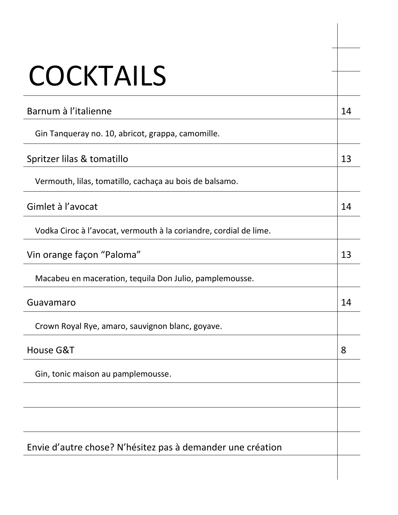| <b>COCKTAILS</b>                                                  |    |
|-------------------------------------------------------------------|----|
| Barnum à l'italienne                                              | 14 |
| Gin Tanqueray no. 10, abricot, grappa, camomille.                 |    |
| Spritzer lilas & tomatillo                                        | 13 |
| Vermouth, lilas, tomatillo, cachaça au bois de balsamo.           |    |
| Gimlet à l'avocat                                                 | 14 |
| Vodka Ciroc à l'avocat, vermouth à la coriandre, cordial de lime. |    |
| Vin orange façon "Paloma"                                         | 13 |
| Macabeu en maceration, tequila Don Julio, pamplemousse.           |    |
| Guavamaro                                                         | 14 |
| Crown Royal Rye, amaro, sauvignon blanc, goyave.                  |    |
| House G&T                                                         | 8  |
| Gin, tonic maison au pamplemousse.                                |    |
|                                                                   |    |
|                                                                   |    |
| Envie d'autre chose? N'hésitez pas à demander une création        |    |
|                                                                   |    |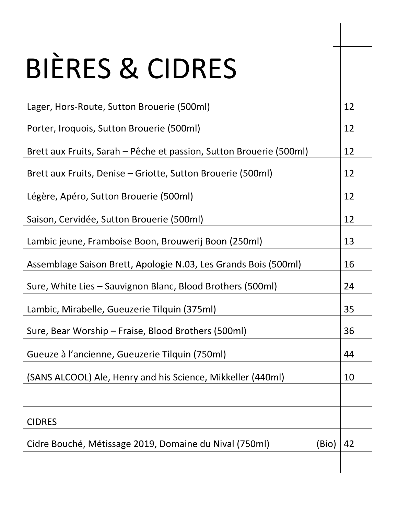| <b>BIERES &amp; CIDRES</b>                                          |    |
|---------------------------------------------------------------------|----|
| Lager, Hors-Route, Sutton Brouerie (500ml)                          | 12 |
| Porter, Iroquois, Sutton Brouerie (500ml)                           | 12 |
| Brett aux Fruits, Sarah – Pêche et passion, Sutton Brouerie (500ml) | 12 |
| Brett aux Fruits, Denise – Griotte, Sutton Brouerie (500ml)         | 12 |
| Légère, Apéro, Sutton Brouerie (500ml)                              | 12 |
| Saison, Cervidée, Sutton Brouerie (500ml)                           | 12 |
| Lambic jeune, Framboise Boon, Brouwerij Boon (250ml)                | 13 |
| Assemblage Saison Brett, Apologie N.03, Les Grands Bois (500ml)     | 16 |
| Sure, White Lies – Sauvignon Blanc, Blood Brothers (500ml)          | 24 |
| Lambic, Mirabelle, Gueuzerie Tilquin (375ml)                        | 35 |
| Sure, Bear Worship – Fraise, Blood Brothers (500ml)                 | 36 |
| Gueuze à l'ancienne, Gueuzerie Tilquin (750ml)                      | 44 |
| (SANS ALCOOL) Ale, Henry and his Science, Mikkeller (440ml)         | 10 |
|                                                                     |    |
| <b>CIDRES</b>                                                       |    |
| Cidre Bouché, Métissage 2019, Domaine du Nival (750ml)<br>(Bio)     | 42 |
|                                                                     |    |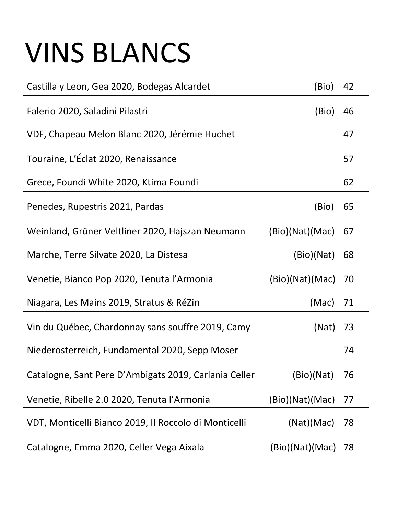## VINS BLANCS

| Castilla y Leon, Gea 2020, Bodegas Alcardet           | (Bio)           | 42 |
|-------------------------------------------------------|-----------------|----|
| Falerio 2020, Saladini Pilastri                       | (Bio)           | 46 |
| VDF, Chapeau Melon Blanc 2020, Jérémie Huchet         |                 | 47 |
| Touraine, L'Éclat 2020, Renaissance                   |                 | 57 |
| Grece, Foundi White 2020, Ktima Foundi                |                 | 62 |
| Penedes, Rupestris 2021, Pardas                       | (Bio)           | 65 |
| Weinland, Grüner Veltliner 2020, Hajszan Neumann      | (Bio)(Nat)(Mac) | 67 |
| Marche, Terre Silvate 2020, La Distesa                | (Bio)(Nat)      | 68 |
| Venetie, Bianco Pop 2020, Tenuta l'Armonia            | (Bio)(Nat)(Mac) | 70 |
| Niagara, Les Mains 2019, Stratus & RéZin              | (Mac)           | 71 |
| Vin du Québec, Chardonnay sans souffre 2019, Camy     | (Nat)           | 73 |
| Niederosterreich, Fundamental 2020, Sepp Moser        |                 | 74 |
| Catalogne, Sant Pere D'Ambigats 2019, Carlania Celler | (Bio)(Nat)      | 76 |
| Venetie, Ribelle 2.0 2020, Tenuta l'Armonia           | (Bio)(Nat)(Mac) | 77 |
| VDT, Monticelli Bianco 2019, Il Roccolo di Monticelli | (Nat)(Mac)      | 78 |
| Catalogne, Emma 2020, Celler Vega Aixala              | (Bio)(Nat)(Mac) | 78 |
|                                                       |                 |    |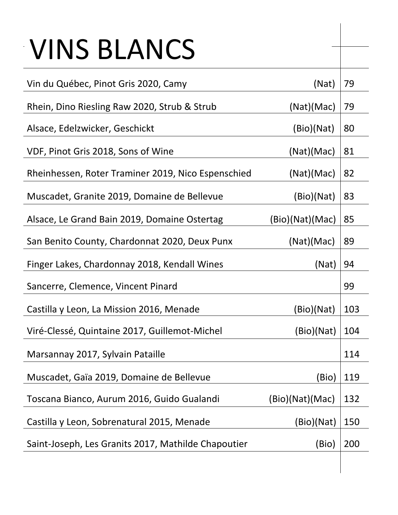## VINS BLANCS

| Vin du Québec, Pinot Gris 2020, Camy                | (Nat)           | 79  |
|-----------------------------------------------------|-----------------|-----|
| Rhein, Dino Riesling Raw 2020, Strub & Strub        | (Nat)(Mac)      | 79  |
| Alsace, Edelzwicker, Geschickt                      | (Bio)(Nat)      | 80  |
| VDF, Pinot Gris 2018, Sons of Wine                  | (Nat)(Mac)      | 81  |
| Rheinhessen, Roter Traminer 2019, Nico Espenschied  | (Nat)(Mac)      | 82  |
| Muscadet, Granite 2019, Domaine de Bellevue         | (Bio)(Nat)      | 83  |
| Alsace, Le Grand Bain 2019, Domaine Ostertag        | (Bio)(Nat)(Mac) | 85  |
| San Benito County, Chardonnat 2020, Deux Punx       | (Nat)(Mac)      | 89  |
| Finger Lakes, Chardonnay 2018, Kendall Wines        | (Nat)           | 94  |
| Sancerre, Clemence, Vincent Pinard                  |                 | 99  |
| Castilla y Leon, La Mission 2016, Menade            | (Bio)(Nat)      | 103 |
| Viré-Clessé, Quintaine 2017, Guillemot-Michel       | (Bio)(Nat)      | 104 |
| Marsannay 2017, Sylvain Pataille                    |                 | 114 |
| Muscadet, Gaïa 2019, Domaine de Bellevue            | (Bio)           | 119 |
| Toscana Bianco, Aurum 2016, Guido Gualandi          | (Bio)(Nat)(Mac) | 132 |
| Castilla y Leon, Sobrenatural 2015, Menade          | (Bio)(Nat)      | 150 |
| Saint-Joseph, Les Granits 2017, Mathilde Chapoutier | (Bio)           | 200 |
|                                                     |                 |     |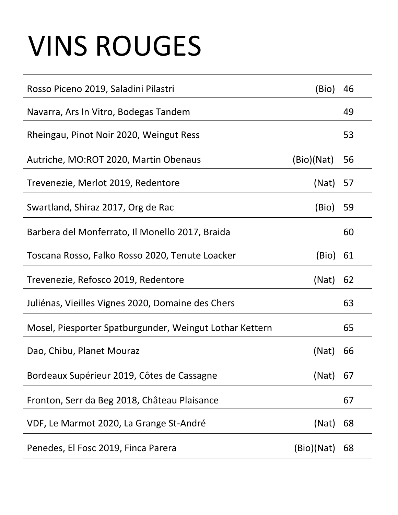## VINS ROUGES

| Rosso Piceno 2019, Saladini Pilastri                    | (Bio)      | 46 |
|---------------------------------------------------------|------------|----|
| Navarra, Ars In Vitro, Bodegas Tandem                   |            | 49 |
| Rheingau, Pinot Noir 2020, Weingut Ress                 |            | 53 |
| Autriche, MO:ROT 2020, Martin Obenaus                   | (Bio)(Nat) | 56 |
| Trevenezie, Merlot 2019, Redentore                      | (Nat)      | 57 |
| Swartland, Shiraz 2017, Org de Rac                      | (Bio)      | 59 |
| Barbera del Monferrato, Il Monello 2017, Braida         |            | 60 |
| Toscana Rosso, Falko Rosso 2020, Tenute Loacker         | (Bio)      | 61 |
| Trevenezie, Refosco 2019, Redentore                     | (Nat)      | 62 |
| Juliénas, Vieilles Vignes 2020, Domaine des Chers       |            | 63 |
| Mosel, Piesporter Spatburgunder, Weingut Lothar Kettern |            | 65 |
| Dao, Chibu, Planet Mouraz                               | (Nat)      | 66 |
| Bordeaux Supérieur 2019, Côtes de Cassagne              | (Nat)      | 67 |
| Fronton, Serr da Beg 2018, Château Plaisance            |            | 67 |
| VDF, Le Marmot 2020, La Grange St-André                 | (Nat)      | 68 |
| Penedes, El Fosc 2019, Finca Parera                     | (Bio)(Nat) | 68 |
|                                                         |            |    |